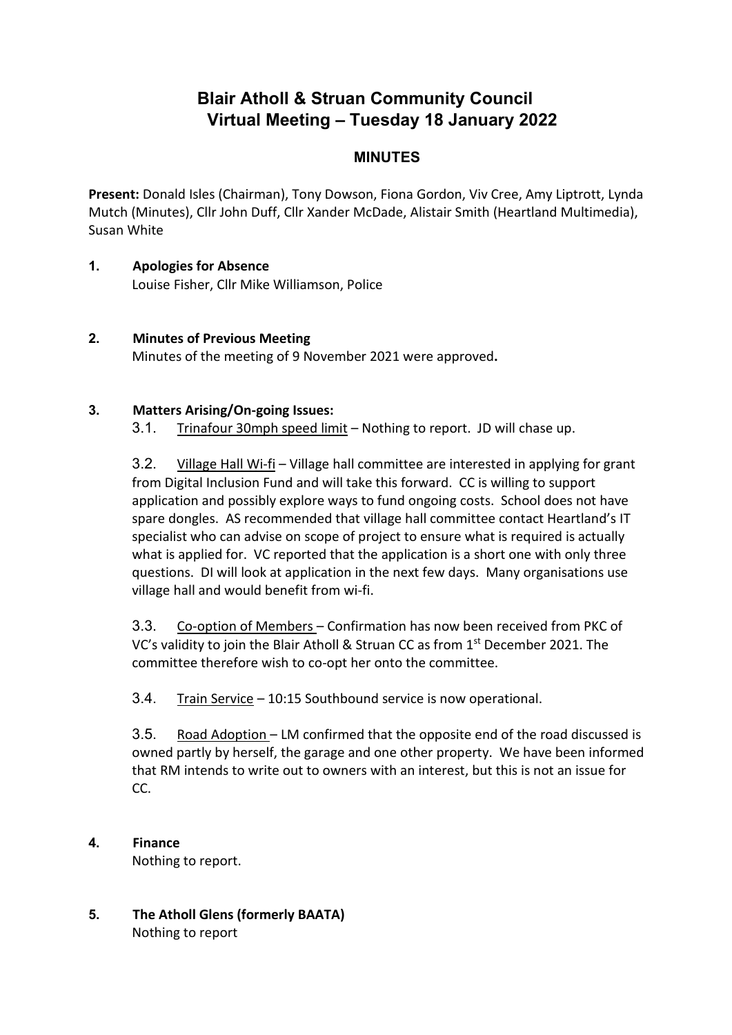# **Blair Atholl & Struan Community Council Virtual Meeting – Tuesday 18 January 2022**

## **MINUTES**

**Present:** Donald Isles (Chairman), Tony Dowson, Fiona Gordon, Viv Cree, Amy Liptrott, Lynda Mutch (Minutes), Cllr John Duff, Cllr Xander McDade, Alistair Smith (Heartland Multimedia), Susan White

- **1. Apologies for Absence** Louise Fisher, Cllr Mike Williamson, Police
- **2. Minutes of Previous Meeting** Minutes of the meeting of 9 November 2021 were approved**.**

#### **3. Matters Arising/On-going Issues:**

3.1. Trinafour 30mph speed limit - Nothing to report. JD will chase up.

3.2. Village Hall Wi-fi – Village hall committee are interested in applying for grant from Digital Inclusion Fund and will take this forward. CC is willing to support application and possibly explore ways to fund ongoing costs. School does not have spare dongles. AS recommended that village hall committee contact Heartland's IT specialist who can advise on scope of project to ensure what is required is actually what is applied for. VC reported that the application is a short one with only three questions. DI will look at application in the next few days. Many organisations use village hall and would benefit from wi-fi.

3.3. Co-option of Members – Confirmation has now been received from PKC of VC's validity to join the Blair Atholl & Struan CC as from  $1<sup>st</sup>$  December 2021. The committee therefore wish to co-opt her onto the committee.

3.4. Train Service - 10:15 Southbound service is now operational.

3.5. Road Adoption – LM confirmed that the opposite end of the road discussed is owned partly by herself, the garage and one other property. We have been informed that RM intends to write out to owners with an interest, but this is not an issue for CC.

- **4. Finance**  Nothing to report.
- **5. The Atholl Glens (formerly BAATA)** Nothing to report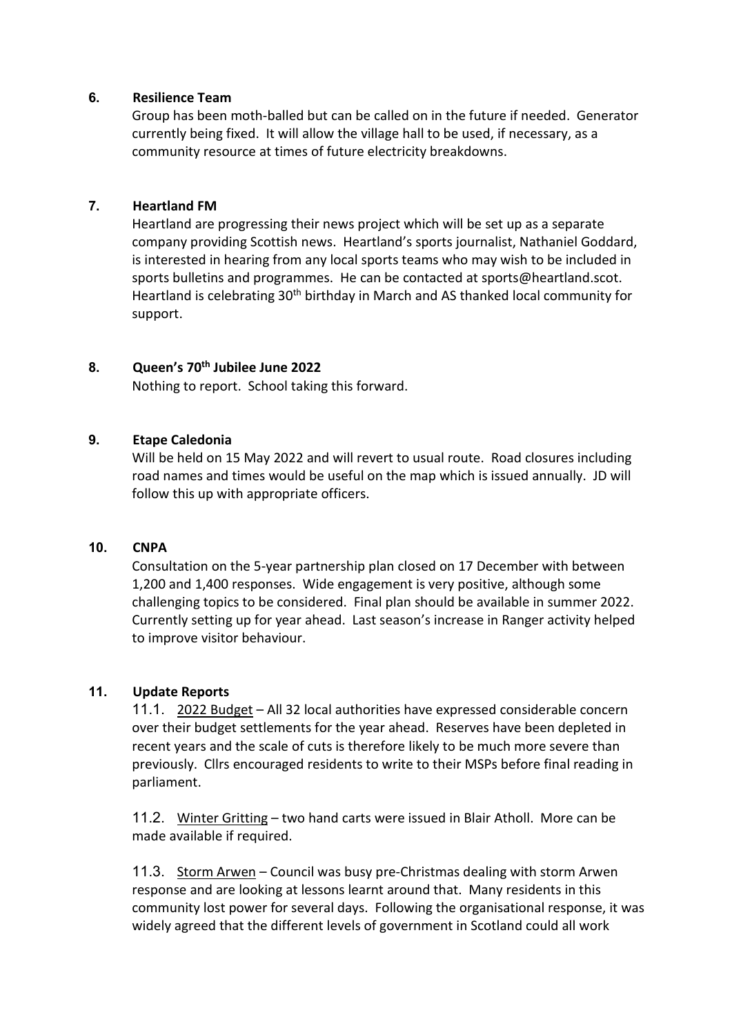#### **6. Resilience Team**

Group has been moth-balled but can be called on in the future if needed. Generator currently being fixed. It will allow the village hall to be used, if necessary, as a community resource at times of future electricity breakdowns.

#### **7. Heartland FM**

Heartland are progressing their news project which will be set up as a separate company providing Scottish news. Heartland's sports journalist, Nathaniel Goddard, is interested in hearing from any local sports teams who may wish to be included in sports bulletins and programmes. He can be contacted at sports@heartland.scot. Heartland is celebrating 30<sup>th</sup> birthday in March and AS thanked local community for support.

#### **8. Queen's 70th Jubilee June 2022**

Nothing to report. School taking this forward.

## **9. Etape Caledonia**

Will be held on 15 May 2022 and will revert to usual route. Road closures including road names and times would be useful on the map which is issued annually. JD will follow this up with appropriate officers.

#### **10. CNPA**

Consultation on the 5-year partnership plan closed on 17 December with between 1,200 and 1,400 responses. Wide engagement is very positive, although some challenging topics to be considered. Final plan should be available in summer 2022. Currently setting up for year ahead. Last season's increase in Ranger activity helped to improve visitor behaviour.

## **11. Update Reports**

11.1. 2022 Budget – All 32 local authorities have expressed considerable concern over their budget settlements for the year ahead. Reserves have been depleted in recent years and the scale of cuts is therefore likely to be much more severe than previously. Cllrs encouraged residents to write to their MSPs before final reading in parliament.

11.2. Winter Gritting – two hand carts were issued in Blair Atholl. More can be made available if required.

11.3. Storm Arwen – Council was busy pre-Christmas dealing with storm Arwen response and are looking at lessons learnt around that. Many residents in this community lost power for several days. Following the organisational response, it was widely agreed that the different levels of government in Scotland could all work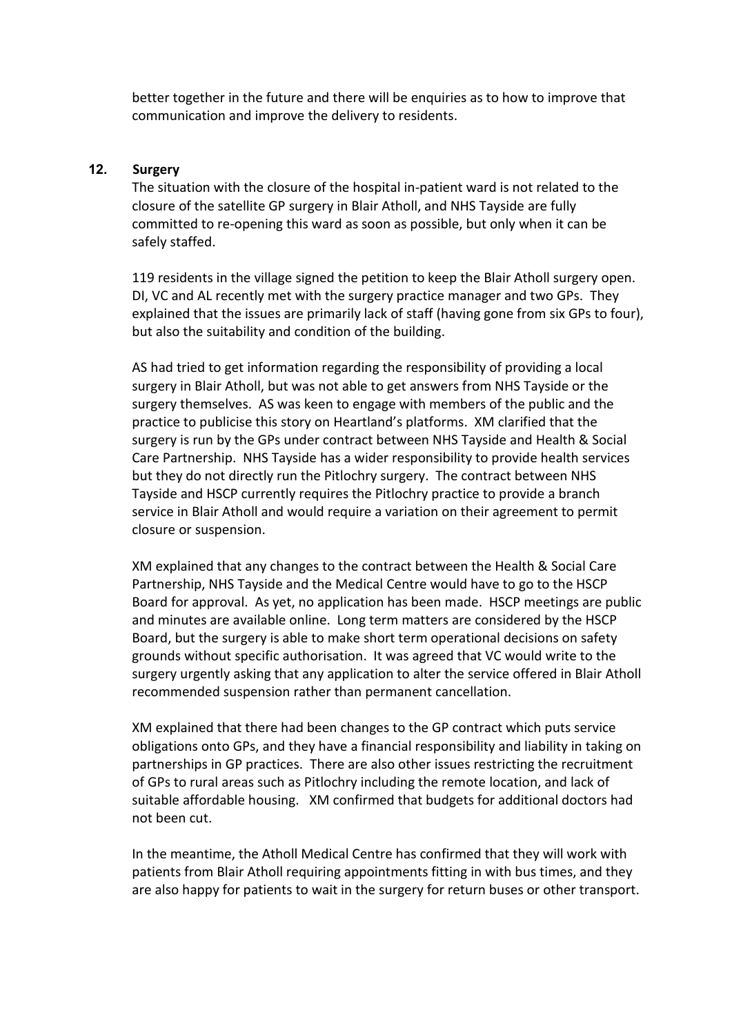better together in the future and there will be enquiries as to how to improve that communication and improve the delivery to residents.

#### **12. Surgery**

The situation with the closure of the hospital in-patient ward is not related to the closure of the satellite GP surgery in Blair Atholl, and NHS Tayside are fully committed to re-opening this ward as soon as possible, but only when it can be safely staffed.

119 residents in the village signed the petition to keep the Blair Atholl surgery open. DI, VC and AL recently met with the surgery practice manager and two GPs. They explained that the issues are primarily lack of staff (having gone from six GPs to four), but also the suitability and condition of the building.

AS had tried to get information regarding the responsibility of providing a local surgery in Blair Atholl, but was not able to get answers from NHS Tayside or the surgery themselves. AS was keen to engage with members of the public and the practice to publicise this story on Heartland's platforms. XM clarified that the surgery is run by the GPs under contract between NHS Tayside and Health & Social Care Partnership. NHS Tayside has a wider responsibility to provide health services but they do not directly run the Pitlochry surgery. The contract between NHS Tayside and HSCP currently requires the Pitlochry practice to provide a branch service in Blair Atholl and would require a variation on their agreement to permit closure or suspension.

XM explained that any changes to the contract between the Health & Social Care Partnership, NHS Tayside and the Medical Centre would have to go to the HSCP Board for approval. As yet, no application has been made. HSCP meetings are public and minutes are available online. Long term matters are considered by the HSCP Board, but the surgery is able to make short term operational decisions on safety grounds without specific authorisation. It was agreed that VC would write to the surgery urgently asking that any application to alter the service offered in Blair Atholl recommended suspension rather than permanent cancellation.

XM explained that there had been changes to the GP contract which puts service obligations onto GPs, and they have a financial responsibility and liability in taking on partnerships in GP practices. There are also other issues restricting the recruitment of GPs to rural areas such as Pitlochry including the remote location, and lack of suitable affordable housing. XM confirmed that budgets for additional doctors had not been cut.

In the meantime, the Atholl Medical Centre has confirmed that they will work with patients from Blair Atholl requiring appointments fitting in with bus times, and they are also happy for patients to wait in the surgery for return buses or other transport.